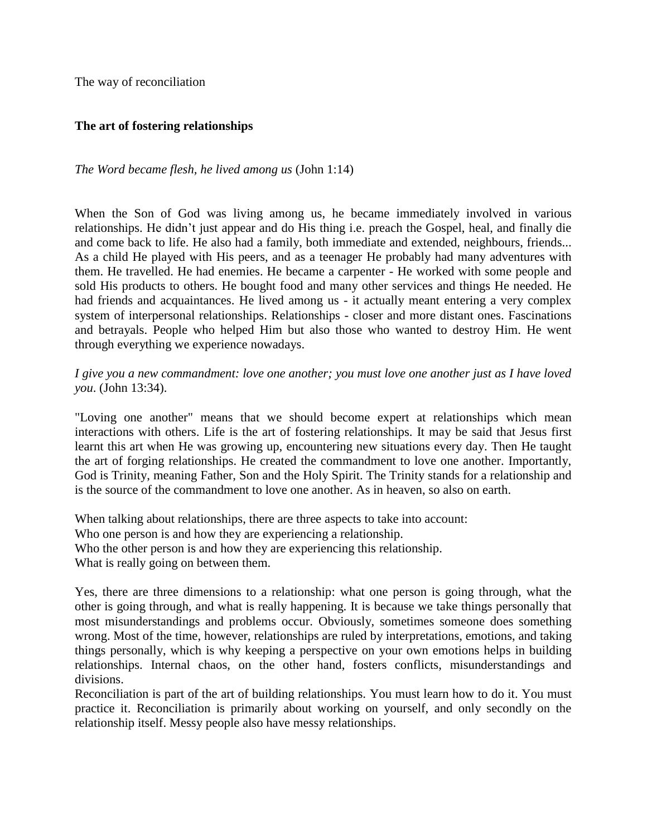The way of reconciliation

### **The art of fostering relationships**

### *The Word became flesh, he lived among us* (John 1:14)

When the Son of God was living among us, he became immediately involved in various relationships. He didn't just appear and do His thing i.e. preach the Gospel, heal, and finally die and come back to life. He also had a family, both immediate and extended, neighbours, friends... As a child He played with His peers, and as a teenager He probably had many adventures with them. He travelled. He had enemies. He became a carpenter - He worked with some people and sold His products to others. He bought food and many other services and things He needed. He had friends and acquaintances. He lived among us - it actually meant entering a very complex system of interpersonal relationships. Relationships - closer and more distant ones. Fascinations and betrayals. People who helped Him but also those who wanted to destroy Him. He went through everything we experience nowadays.

### *I give you a new commandment: love one another; you must love one another just as I have loved you*. (John 13:34).

"Loving one another" means that we should become expert at relationships which mean interactions with others. Life is the art of fostering relationships. It may be said that Jesus first learnt this art when He was growing up, encountering new situations every day. Then He taught the art of forging relationships. He created the commandment to love one another. Importantly, God is Trinity, meaning Father, Son and the Holy Spirit. The Trinity stands for a relationship and is the source of the commandment to love one another. As in heaven, so also on earth.

When talking about relationships, there are three aspects to take into account: Who one person is and how they are experiencing a relationship. Who the other person is and how they are experiencing this relationship. What is really going on between them.

Yes, there are three dimensions to a relationship: what one person is going through, what the other is going through, and what is really happening. It is because we take things personally that most misunderstandings and problems occur. Obviously, sometimes someone does something wrong. Most of the time, however, relationships are ruled by interpretations, emotions, and taking things personally, which is why keeping a perspective on your own emotions helps in building relationships. Internal chaos, on the other hand, fosters conflicts, misunderstandings and divisions.

Reconciliation is part of the art of building relationships. You must learn how to do it. You must practice it. Reconciliation is primarily about working on yourself, and only secondly on the relationship itself. Messy people also have messy relationships.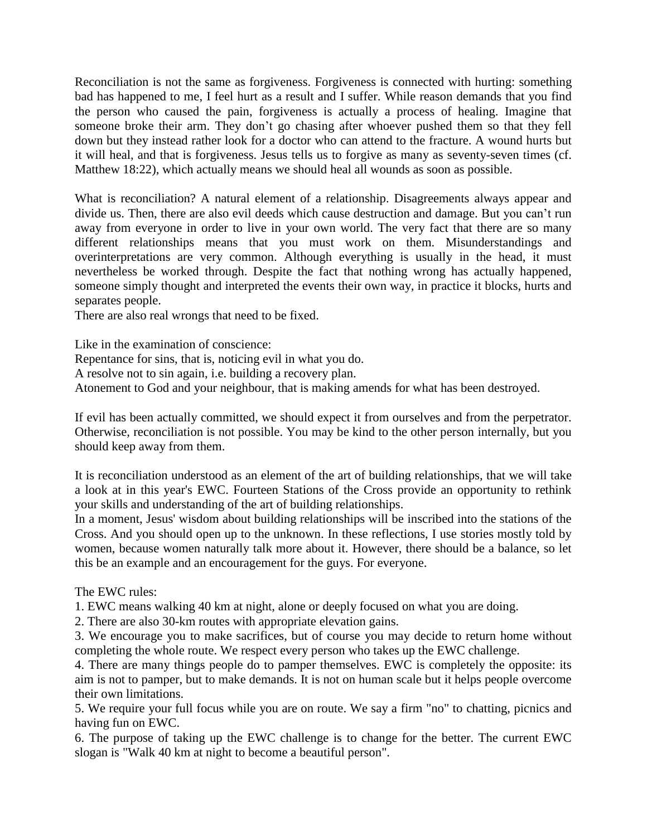Reconciliation is not the same as forgiveness. Forgiveness is connected with hurting: something bad has happened to me, I feel hurt as a result and I suffer. While reason demands that you find the person who caused the pain, forgiveness is actually a process of healing. Imagine that someone broke their arm. They don't go chasing after whoever pushed them so that they fell down but they instead rather look for a doctor who can attend to the fracture. A wound hurts but it will heal, and that is forgiveness. Jesus tells us to forgive as many as seventy-seven times (cf. Matthew 18:22), which actually means we should heal all wounds as soon as possible.

What is reconciliation? A natural element of a relationship. Disagreements always appear and divide us. Then, there are also evil deeds which cause destruction and damage. But you can't run away from everyone in order to live in your own world. The very fact that there are so many different relationships means that you must work on them. Misunderstandings and overinterpretations are very common. Although everything is usually in the head, it must nevertheless be worked through. Despite the fact that nothing wrong has actually happened, someone simply thought and interpreted the events their own way, in practice it blocks, hurts and separates people.

There are also real wrongs that need to be fixed.

Like in the examination of conscience:

Repentance for sins, that is, noticing evil in what you do.

A resolve not to sin again, i.e. building a recovery plan.

Atonement to God and your neighbour, that is making amends for what has been destroyed.

If evil has been actually committed, we should expect it from ourselves and from the perpetrator. Otherwise, reconciliation is not possible. You may be kind to the other person internally, but you should keep away from them.

It is reconciliation understood as an element of the art of building relationships, that we will take a look at in this year's EWC. Fourteen Stations of the Cross provide an opportunity to rethink your skills and understanding of the art of building relationships.

In a moment, Jesus' wisdom about building relationships will be inscribed into the stations of the Cross. And you should open up to the unknown. In these reflections, I use stories mostly told by women, because women naturally talk more about it. However, there should be a balance, so let this be an example and an encouragement for the guys. For everyone.

The EWC rules:

1. EWC means walking 40 km at night, alone or deeply focused on what you are doing.

2. There are also 30-km routes with appropriate elevation gains.

3. We encourage you to make sacrifices, but of course you may decide to return home without completing the whole route. We respect every person who takes up the EWC challenge.

4. There are many things people do to pamper themselves. EWC is completely the opposite: its aim is not to pamper, but to make demands. It is not on human scale but it helps people overcome their own limitations.

5. We require your full focus while you are on route. We say a firm "no" to chatting, picnics and having fun on EWC.

6. The purpose of taking up the EWC challenge is to change for the better. The current EWC slogan is "Walk 40 km at night to become a beautiful person".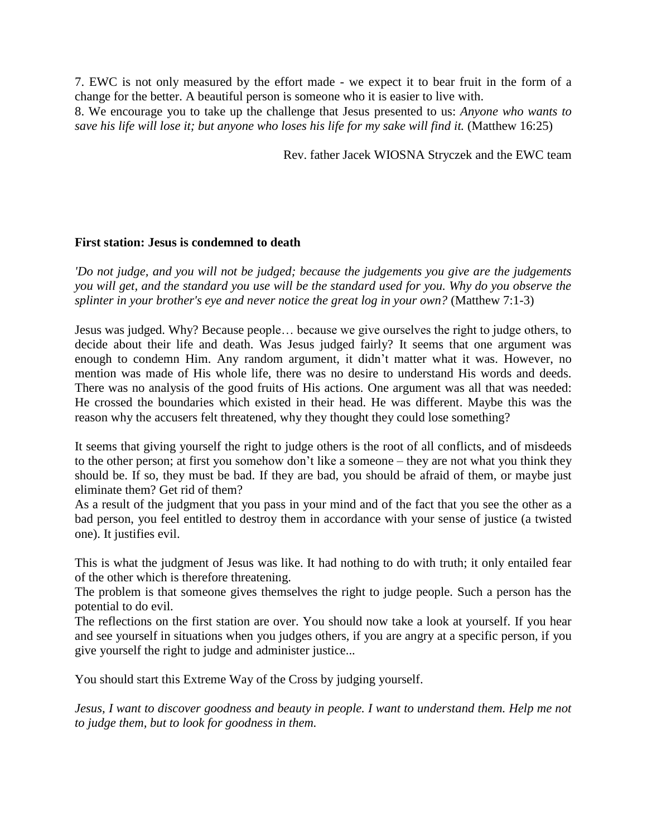7. EWC is not only measured by the effort made - we expect it to bear fruit in the form of a change for the better. A beautiful person is someone who it is easier to live with. 8. We encourage you to take up the challenge that Jesus presented to us: *Anyone who wants to save his life will lose it; but anyone who loses his life for my sake will find it.* (Matthew 16:25)

Rev. father Jacek WIOSNA Stryczek and the EWC team

### **First station: Jesus is condemned to death**

*'Do not judge, and you will not be judged; because the judgements you give are the judgements you will get, and the standard you use will be the standard used for you. Why do you observe the splinter in your brother's eye and never notice the great log in your own?* (Matthew 7:1-3)

Jesus was judged. Why? Because people… because we give ourselves the right to judge others, to decide about their life and death. Was Jesus judged fairly? It seems that one argument was enough to condemn Him. Any random argument, it didn't matter what it was. However, no mention was made of His whole life, there was no desire to understand His words and deeds. There was no analysis of the good fruits of His actions. One argument was all that was needed: He crossed the boundaries which existed in their head. He was different. Maybe this was the reason why the accusers felt threatened, why they thought they could lose something?

It seems that giving yourself the right to judge others is the root of all conflicts, and of misdeeds to the other person; at first you somehow don't like a someone – they are not what you think they should be. If so, they must be bad. If they are bad, you should be afraid of them, or maybe just eliminate them? Get rid of them?

As a result of the judgment that you pass in your mind and of the fact that you see the other as a bad person, you feel entitled to destroy them in accordance with your sense of justice (a twisted one). It justifies evil.

This is what the judgment of Jesus was like. It had nothing to do with truth; it only entailed fear of the other which is therefore threatening.

The problem is that someone gives themselves the right to judge people. Such a person has the potential to do evil.

The reflections on the first station are over. You should now take a look at yourself. If you hear and see yourself in situations when you judges others, if you are angry at a specific person, if you give yourself the right to judge and administer justice...

You should start this Extreme Way of the Cross by judging yourself.

*Jesus, I want to discover goodness and beauty in people. I want to understand them. Help me not to judge them, but to look for goodness in them.*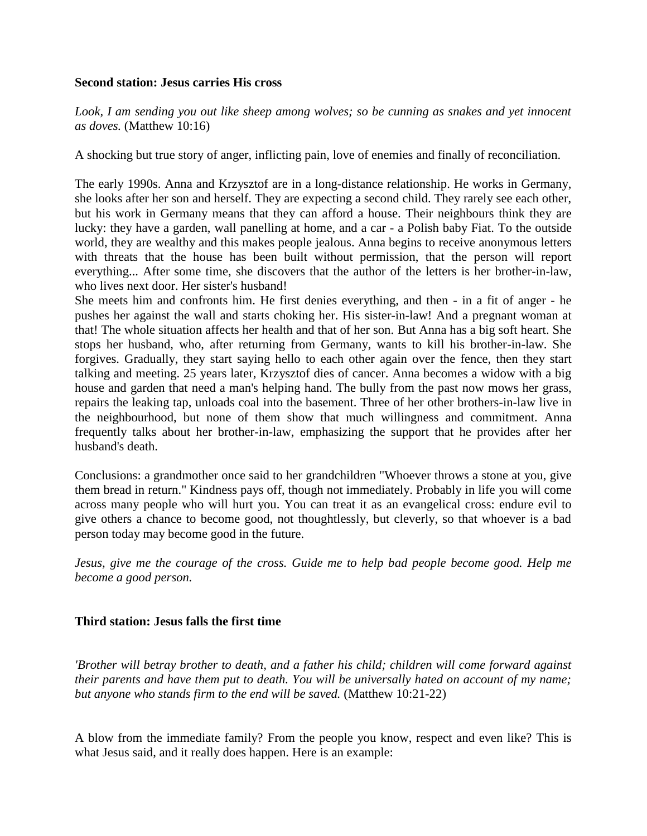#### **Second station: Jesus carries His cross**

*Look, I am sending you out like sheep among wolves; so be cunning as snakes and yet innocent as doves.* (Matthew 10:16)

A shocking but true story of anger, inflicting pain, love of enemies and finally of reconciliation.

The early 1990s. Anna and Krzysztof are in a long-distance relationship. He works in Germany, she looks after her son and herself. They are expecting a second child. They rarely see each other, but his work in Germany means that they can afford a house. Their neighbours think they are lucky: they have a garden, wall panelling at home, and a car - a Polish baby Fiat. To the outside world, they are wealthy and this makes people jealous. Anna begins to receive anonymous letters with threats that the house has been built without permission, that the person will report everything... After some time, she discovers that the author of the letters is her brother-in-law, who lives next door. Her sister's husband!

She meets him and confronts him. He first denies everything, and then - in a fit of anger - he pushes her against the wall and starts choking her. His sister-in-law! And a pregnant woman at that! The whole situation affects her health and that of her son. But Anna has a big soft heart. She stops her husband, who, after returning from Germany, wants to kill his brother-in-law. She forgives. Gradually, they start saying hello to each other again over the fence, then they start talking and meeting. 25 years later, Krzysztof dies of cancer. Anna becomes a widow with a big house and garden that need a man's helping hand. The bully from the past now mows her grass, repairs the leaking tap, unloads coal into the basement. Three of her other brothers-in-law live in the neighbourhood, but none of them show that much willingness and commitment. Anna frequently talks about her brother-in-law, emphasizing the support that he provides after her husband's death.

Conclusions: a grandmother once said to her grandchildren "Whoever throws a stone at you, give them bread in return." Kindness pays off, though not immediately. Probably in life you will come across many people who will hurt you. You can treat it as an evangelical cross: endure evil to give others a chance to become good, not thoughtlessly, but cleverly, so that whoever is a bad person today may become good in the future.

*Jesus, give me the courage of the cross. Guide me to help bad people become good. Help me become a good person.* 

# **Third station: Jesus falls the first time**

*'Brother will betray brother to death, and a father his child; children will come forward against their parents and have them put to death. You will be universally hated on account of my name; but anyone who stands firm to the end will be saved.* (Matthew 10:21-22)

A blow from the immediate family? From the people you know, respect and even like? This is what Jesus said, and it really does happen. Here is an example: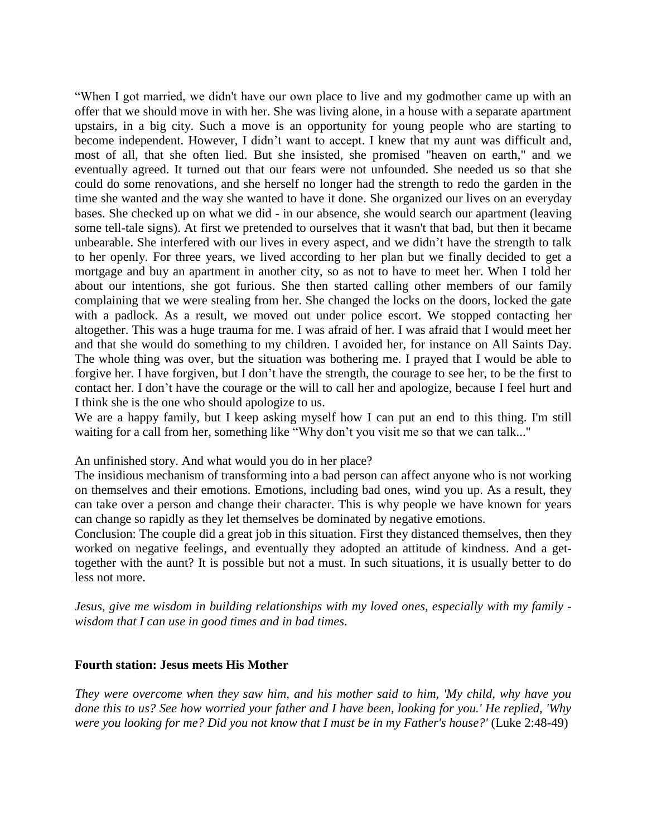"When I got married, we didn't have our own place to live and my godmother came up with an offer that we should move in with her. She was living alone, in a house with a separate apartment upstairs, in a big city. Such a move is an opportunity for young people who are starting to become independent. However, I didn't want to accept. I knew that my aunt was difficult and, most of all, that she often lied. But she insisted, she promised "heaven on earth," and we eventually agreed. It turned out that our fears were not unfounded. She needed us so that she could do some renovations, and she herself no longer had the strength to redo the garden in the time she wanted and the way she wanted to have it done. She organized our lives on an everyday bases. She checked up on what we did - in our absence, she would search our apartment (leaving some tell-tale signs). At first we pretended to ourselves that it wasn't that bad, but then it became unbearable. She interfered with our lives in every aspect, and we didn't have the strength to talk to her openly. For three years, we lived according to her plan but we finally decided to get a mortgage and buy an apartment in another city, so as not to have to meet her. When I told her about our intentions, she got furious. She then started calling other members of our family complaining that we were stealing from her. She changed the locks on the doors, locked the gate with a padlock. As a result, we moved out under police escort. We stopped contacting her altogether. This was a huge trauma for me. I was afraid of her. I was afraid that I would meet her and that she would do something to my children. I avoided her, for instance on All Saints Day. The whole thing was over, but the situation was bothering me. I prayed that I would be able to forgive her. I have forgiven, but I don't have the strength, the courage to see her, to be the first to contact her. I don't have the courage or the will to call her and apologize, because I feel hurt and I think she is the one who should apologize to us.

We are a happy family, but I keep asking myself how I can put an end to this thing. I'm still waiting for a call from her, something like "Why don't you visit me so that we can talk..."

An unfinished story. And what would you do in her place?

The insidious mechanism of transforming into a bad person can affect anyone who is not working on themselves and their emotions. Emotions, including bad ones, wind you up. As a result, they can take over a person and change their character. This is why people we have known for years can change so rapidly as they let themselves be dominated by negative emotions.

Conclusion: The couple did a great job in this situation. First they distanced themselves, then they worked on negative feelings, and eventually they adopted an attitude of kindness. And a gettogether with the aunt? It is possible but not a must. In such situations, it is usually better to do less not more.

*Jesus, give me wisdom in building relationships with my loved ones, especially with my family wisdom that I can use in good times and in bad times*.

#### **Fourth station: Jesus meets His Mother**

*They were overcome when they saw him, and his mother said to him, 'My child, why have you done this to us? See how worried your father and I have been, looking for you.' He replied, 'Why were you looking for me? Did you not know that I must be in my Father's house?'* (Luke 2:48-49)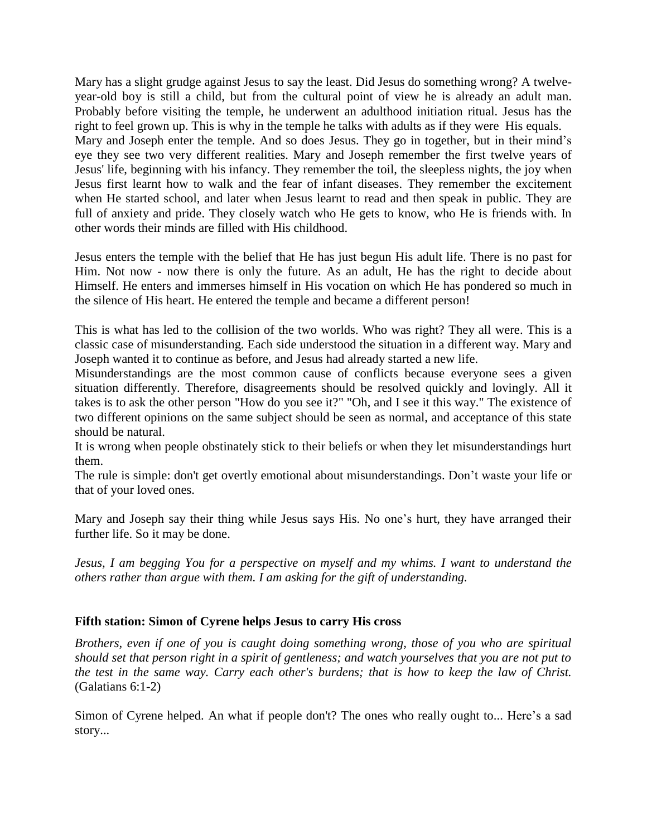Mary has a slight grudge against Jesus to say the least. Did Jesus do something wrong? A twelveyear-old boy is still a child, but from the cultural point of view he is already an adult man. Probably before visiting the temple, he underwent an adulthood initiation ritual. Jesus has the right to feel grown up. This is why in the temple he talks with adults as if they were His equals. Mary and Joseph enter the temple. And so does Jesus. They go in together, but in their mind's eye they see two very different realities. Mary and Joseph remember the first twelve years of Jesus' life, beginning with his infancy. They remember the toil, the sleepless nights, the joy when Jesus first learnt how to walk and the fear of infant diseases. They remember the excitement when He started school, and later when Jesus learnt to read and then speak in public. They are full of anxiety and pride. They closely watch who He gets to know, who He is friends with. In other words their minds are filled with His childhood.

Jesus enters the temple with the belief that He has just begun His adult life. There is no past for Him. Not now - now there is only the future. As an adult, He has the right to decide about Himself. He enters and immerses himself in His vocation on which He has pondered so much in the silence of His heart. He entered the temple and became a different person!

This is what has led to the collision of the two worlds. Who was right? They all were. This is a classic case of misunderstanding. Each side understood the situation in a different way. Mary and Joseph wanted it to continue as before, and Jesus had already started a new life.

Misunderstandings are the most common cause of conflicts because everyone sees a given situation differently. Therefore, disagreements should be resolved quickly and lovingly. All it takes is to ask the other person "How do you see it?" "Oh, and I see it this way." The existence of two different opinions on the same subject should be seen as normal, and acceptance of this state should be natural.

It is wrong when people obstinately stick to their beliefs or when they let misunderstandings hurt them.

The rule is simple: don't get overtly emotional about misunderstandings. Don't waste your life or that of your loved ones.

Mary and Joseph say their thing while Jesus says His. No one's hurt, they have arranged their further life. So it may be done.

*Jesus, I am begging You for a perspective on myself and my whims. I want to understand the others rather than argue with them. I am asking for the gift of understanding.*

### **Fifth station: Simon of Cyrene helps Jesus to carry His cross**

*Brothers, even if one of you is caught doing something wrong, those of you who are spiritual should set that person right in a spirit of gentleness; and watch yourselves that you are not put to the test in the same way. Carry each other's burdens; that is how to keep the law of Christ.* (Galatians 6:1-2)

Simon of Cyrene helped. An what if people don't? The ones who really ought to... Here's a sad story...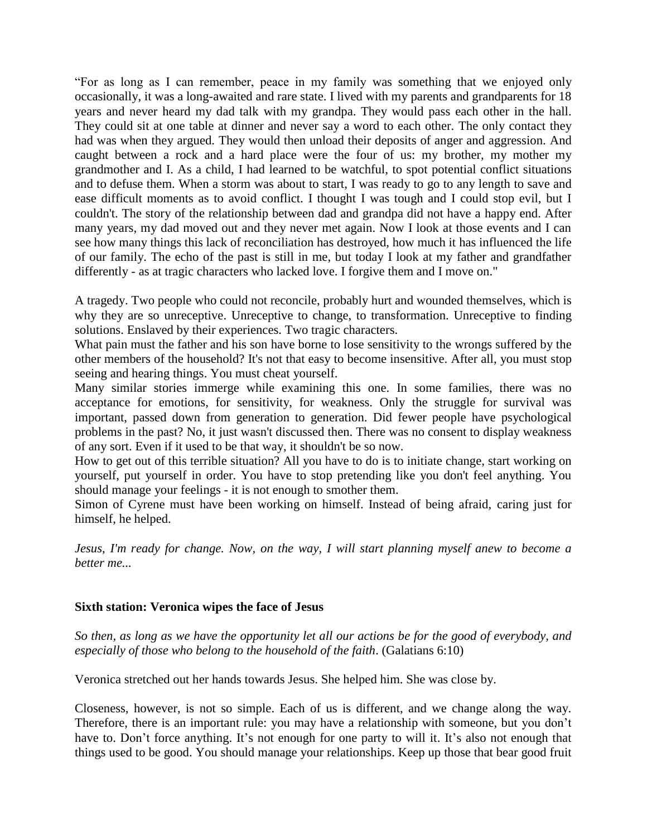"For as long as I can remember, peace in my family was something that we enjoyed only occasionally, it was a long-awaited and rare state. I lived with my parents and grandparents for 18 years and never heard my dad talk with my grandpa. They would pass each other in the hall. They could sit at one table at dinner and never say a word to each other. The only contact they had was when they argued. They would then unload their deposits of anger and aggression. And caught between a rock and a hard place were the four of us: my brother, my mother my grandmother and I. As a child, I had learned to be watchful, to spot potential conflict situations and to defuse them. When a storm was about to start, I was ready to go to any length to save and ease difficult moments as to avoid conflict. I thought I was tough and I could stop evil, but I couldn't. The story of the relationship between dad and grandpa did not have a happy end. After many years, my dad moved out and they never met again. Now I look at those events and I can see how many things this lack of reconciliation has destroyed, how much it has influenced the life of our family. The echo of the past is still in me, but today I look at my father and grandfather differently - as at tragic characters who lacked love. I forgive them and I move on."

A tragedy. Two people who could not reconcile, probably hurt and wounded themselves, which is why they are so unreceptive. Unreceptive to change, to transformation. Unreceptive to finding solutions. Enslaved by their experiences. Two tragic characters.

What pain must the father and his son have borne to lose sensitivity to the wrongs suffered by the other members of the household? It's not that easy to become insensitive. After all, you must stop seeing and hearing things. You must cheat yourself.

Many similar stories immerge while examining this one. In some families, there was no acceptance for emotions, for sensitivity, for weakness. Only the struggle for survival was important, passed down from generation to generation. Did fewer people have psychological problems in the past? No, it just wasn't discussed then. There was no consent to display weakness of any sort. Even if it used to be that way, it shouldn't be so now.

How to get out of this terrible situation? All you have to do is to initiate change, start working on yourself, put yourself in order. You have to stop pretending like you don't feel anything. You should manage your feelings - it is not enough to smother them.

Simon of Cyrene must have been working on himself. Instead of being afraid, caring just for himself, he helped.

*Jesus, I'm ready for change. Now, on the way, I will start planning myself anew to become a better me...*

### **Sixth station: Veronica wipes the face of Jesus**

*So then, as long as we have the opportunity let all our actions be for the good of everybody, and especially of those who belong to the household of the faith*. (Galatians 6:10)

Veronica stretched out her hands towards Jesus. She helped him. She was close by.

Closeness, however, is not so simple. Each of us is different, and we change along the way. Therefore, there is an important rule: you may have a relationship with someone, but you don't have to. Don't force anything. It's not enough for one party to will it. It's also not enough that things used to be good. You should manage your relationships. Keep up those that bear good fruit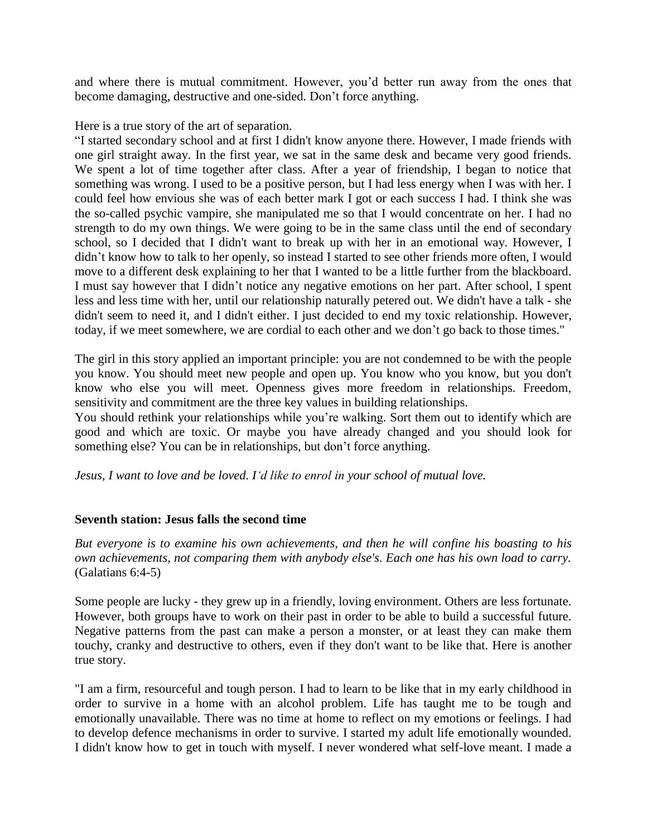and where there is mutual commitment. However, you'd better run away from the ones that become damaging, destructive and one-sided. Don't force anything.

Here is a true story of the art of separation.

"I started secondary school and at first I didn't know anyone there. However, I made friends with one girl straight away. In the first year, we sat in the same desk and became very good friends. We spent a lot of time together after class. After a year of friendship, I began to notice that something was wrong. I used to be a positive person, but I had less energy when I was with her. I could feel how envious she was of each better mark I got or each success I had. I think she was the so-called psychic vampire, she manipulated me so that I would concentrate on her. I had no strength to do my own things. We were going to be in the same class until the end of secondary school, so I decided that I didn't want to break up with her in an emotional way. However, I didn't know how to talk to her openly, so instead I started to see other friends more often, I would move to a different desk explaining to her that I wanted to be a little further from the blackboard. I must say however that I didn't notice any negative emotions on her part. After school, I spent less and less time with her, until our relationship naturally petered out. We didn't have a talk - she didn't seem to need it, and I didn't either. I just decided to end my toxic relationship. However, today, if we meet somewhere, we are cordial to each other and we don't go back to those times."

The girl in this story applied an important principle: you are not condemned to be with the people you know. You should meet new people and open up. You know who you know, but you don't know who else you will meet. Openness gives more freedom in relationships. Freedom, sensitivity and commitment are the three key values in building relationships.

You should rethink your relationships while you're walking. Sort them out to identify which are good and which are toxic. Or maybe you have already changed and you should look for something else? You can be in relationships, but don't force anything.

*Jesus, I want to love and be loved. I'd like to enrol in your school of mutual love.*

# **Seventh station: Jesus falls the second time**

*But everyone is to examine his own achievements, and then he will confine his boasting to his own achievements, not comparing them with anybody else's. Each one has his own load to carry.* (Galatians 6:4-5)

Some people are lucky - they grew up in a friendly, loving environment. Others are less fortunate. However, both groups have to work on their past in order to be able to build a successful future. Negative patterns from the past can make a person a monster, or at least they can make them touchy, cranky and destructive to others, even if they don't want to be like that. Here is another true story.

"I am a firm, resourceful and tough person. I had to learn to be like that in my early childhood in order to survive in a home with an alcohol problem. Life has taught me to be tough and emotionally unavailable. There was no time at home to reflect on my emotions or feelings. I had to develop defence mechanisms in order to survive. I started my adult life emotionally wounded. I didn't know how to get in touch with myself. I never wondered what self-love meant. I made a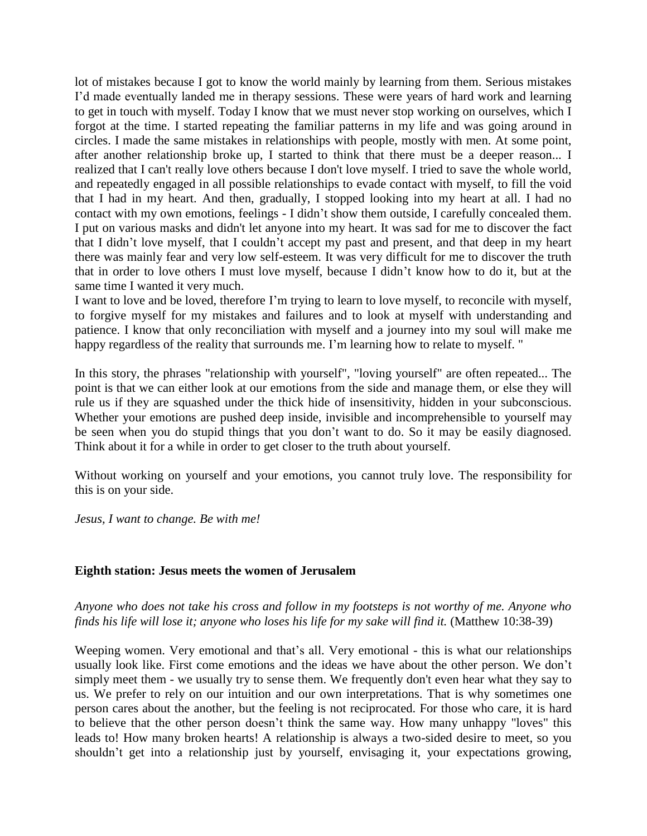lot of mistakes because I got to know the world mainly by learning from them. Serious mistakes I'd made eventually landed me in therapy sessions. These were years of hard work and learning to get in touch with myself. Today I know that we must never stop working on ourselves, which I forgot at the time. I started repeating the familiar patterns in my life and was going around in circles. I made the same mistakes in relationships with people, mostly with men. At some point, after another relationship broke up, I started to think that there must be a deeper reason... I realized that I can't really love others because I don't love myself. I tried to save the whole world, and repeatedly engaged in all possible relationships to evade contact with myself, to fill the void that I had in my heart. And then, gradually, I stopped looking into my heart at all. I had no contact with my own emotions, feelings - I didn't show them outside, I carefully concealed them. I put on various masks and didn't let anyone into my heart. It was sad for me to discover the fact that I didn't love myself, that I couldn't accept my past and present, and that deep in my heart there was mainly fear and very low self-esteem. It was very difficult for me to discover the truth that in order to love others I must love myself, because I didn't know how to do it, but at the same time I wanted it very much.

I want to love and be loved, therefore I'm trying to learn to love myself, to reconcile with myself, to forgive myself for my mistakes and failures and to look at myself with understanding and patience. I know that only reconciliation with myself and a journey into my soul will make me happy regardless of the reality that surrounds me. I'm learning how to relate to myself. "

In this story, the phrases "relationship with yourself", "loving yourself" are often repeated... The point is that we can either look at our emotions from the side and manage them, or else they will rule us if they are squashed under the thick hide of insensitivity, hidden in your subconscious. Whether your emotions are pushed deep inside, invisible and incomprehensible to yourself may be seen when you do stupid things that you don't want to do. So it may be easily diagnosed. Think about it for a while in order to get closer to the truth about yourself.

Without working on yourself and your emotions, you cannot truly love. The responsibility for this is on your side.

*Jesus, I want to change. Be with me!*

### **Eighth station: Jesus meets the women of Jerusalem**

*Anyone who does not take his cross and follow in my footsteps is not worthy of me. Anyone who finds his life will lose it; anyone who loses his life for my sake will find it.* (Matthew 10:38-39)

Weeping women. Very emotional and that's all. Very emotional - this is what our relationships usually look like. First come emotions and the ideas we have about the other person. We don't simply meet them - we usually try to sense them. We frequently don't even hear what they say to us. We prefer to rely on our intuition and our own interpretations. That is why sometimes one person cares about the another, but the feeling is not reciprocated. For those who care, it is hard to believe that the other person doesn't think the same way. How many unhappy "loves" this leads to! How many broken hearts! A relationship is always a two-sided desire to meet, so you shouldn't get into a relationship just by yourself, envisaging it, your expectations growing,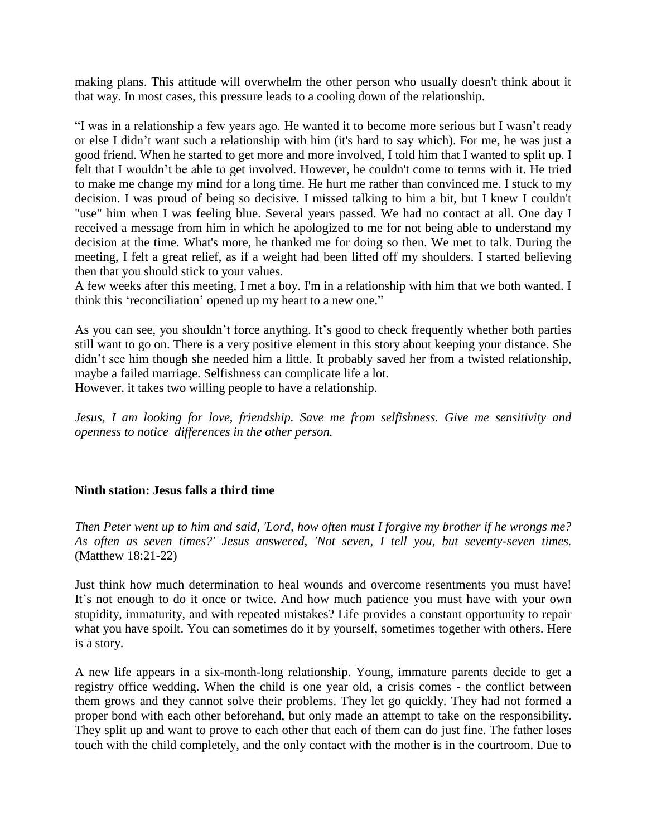making plans. This attitude will overwhelm the other person who usually doesn't think about it that way. In most cases, this pressure leads to a cooling down of the relationship.

"I was in a relationship a few years ago. He wanted it to become more serious but I wasn't ready or else I didn't want such a relationship with him (it's hard to say which). For me, he was just a good friend. When he started to get more and more involved, I told him that I wanted to split up. I felt that I wouldn't be able to get involved. However, he couldn't come to terms with it. He tried to make me change my mind for a long time. He hurt me rather than convinced me. I stuck to my decision. I was proud of being so decisive. I missed talking to him a bit, but I knew I couldn't "use" him when I was feeling blue. Several years passed. We had no contact at all. One day I received a message from him in which he apologized to me for not being able to understand my decision at the time. What's more, he thanked me for doing so then. We met to talk. During the meeting, I felt a great relief, as if a weight had been lifted off my shoulders. I started believing then that you should stick to your values.

A few weeks after this meeting, I met a boy. I'm in a relationship with him that we both wanted. I think this 'reconciliation' opened up my heart to a new one."

As you can see, you shouldn't force anything. It's good to check frequently whether both parties still want to go on. There is a very positive element in this story about keeping your distance. She didn't see him though she needed him a little. It probably saved her from a twisted relationship, maybe a failed marriage. Selfishness can complicate life a lot. However, it takes two willing people to have a relationship.

*Jesus, I am looking for love, friendship. Save me from selfishness. Give me sensitivity and openness to notice differences in the other person.*

# **Ninth station: Jesus falls a third time**

*Then Peter went up to him and said, 'Lord, how often must I forgive my brother if he wrongs me? As often as seven times?' Jesus answered, 'Not seven, I tell you, but seventy-seven times.* (Matthew 18:21-22)

Just think how much determination to heal wounds and overcome resentments you must have! It's not enough to do it once or twice. And how much patience you must have with your own stupidity, immaturity, and with repeated mistakes? Life provides a constant opportunity to repair what you have spoilt. You can sometimes do it by yourself, sometimes together with others. Here is a story.

A new life appears in a six-month-long relationship. Young, immature parents decide to get a registry office wedding. When the child is one year old, a crisis comes - the conflict between them grows and they cannot solve their problems. They let go quickly. They had not formed a proper bond with each other beforehand, but only made an attempt to take on the responsibility. They split up and want to prove to each other that each of them can do just fine. The father loses touch with the child completely, and the only contact with the mother is in the courtroom. Due to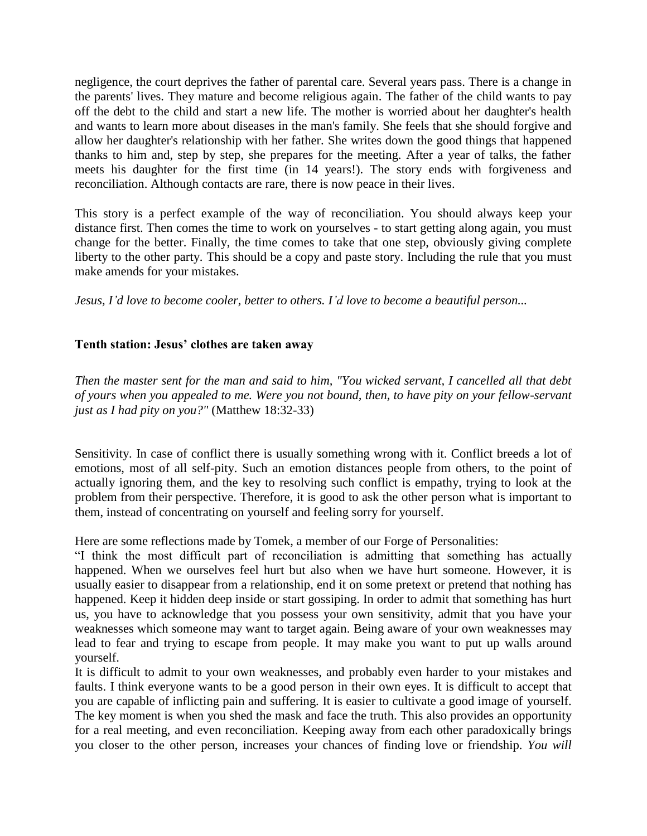negligence, the court deprives the father of parental care. Several years pass. There is a change in the parents' lives. They mature and become religious again. The father of the child wants to pay off the debt to the child and start a new life. The mother is worried about her daughter's health and wants to learn more about diseases in the man's family. She feels that she should forgive and allow her daughter's relationship with her father. She writes down the good things that happened thanks to him and, step by step, she prepares for the meeting. After a year of talks, the father meets his daughter for the first time (in 14 years!). The story ends with forgiveness and reconciliation. Although contacts are rare, there is now peace in their lives.

This story is a perfect example of the way of reconciliation. You should always keep your distance first. Then comes the time to work on yourselves - to start getting along again, you must change for the better. Finally, the time comes to take that one step, obviously giving complete liberty to the other party. This should be a copy and paste story. Including the rule that you must make amends for your mistakes.

*Jesus, I'd love to become cooler, better to others. I'd love to become a beautiful person...*

# **Tenth station: Jesus' clothes are taken away**

*Then the master sent for the man and said to him, "You wicked servant, I cancelled all that debt of yours when you appealed to me. Were you not bound, then, to have pity on your fellow-servant just as I had pity on you?"* (Matthew 18:32-33)

Sensitivity. In case of conflict there is usually something wrong with it. Conflict breeds a lot of emotions, most of all self-pity. Such an emotion distances people from others, to the point of actually ignoring them, and the key to resolving such conflict is empathy, trying to look at the problem from their perspective. Therefore, it is good to ask the other person what is important to them, instead of concentrating on yourself and feeling sorry for yourself.

Here are some reflections made by Tomek, a member of our Forge of Personalities:

"I think the most difficult part of reconciliation is admitting that something has actually happened. When we ourselves feel hurt but also when we have hurt someone. However, it is usually easier to disappear from a relationship, end it on some pretext or pretend that nothing has happened. Keep it hidden deep inside or start gossiping. In order to admit that something has hurt us, you have to acknowledge that you possess your own sensitivity, admit that you have your weaknesses which someone may want to target again. Being aware of your own weaknesses may lead to fear and trying to escape from people. It may make you want to put up walls around yourself.

It is difficult to admit to your own weaknesses, and probably even harder to your mistakes and faults. I think everyone wants to be a good person in their own eyes. It is difficult to accept that you are capable of inflicting pain and suffering. It is easier to cultivate a good image of yourself. The key moment is when you shed the mask and face the truth. This also provides an opportunity for a real meeting, and even reconciliation. Keeping away from each other paradoxically brings you closer to the other person, increases your chances of finding love or friendship. *You will*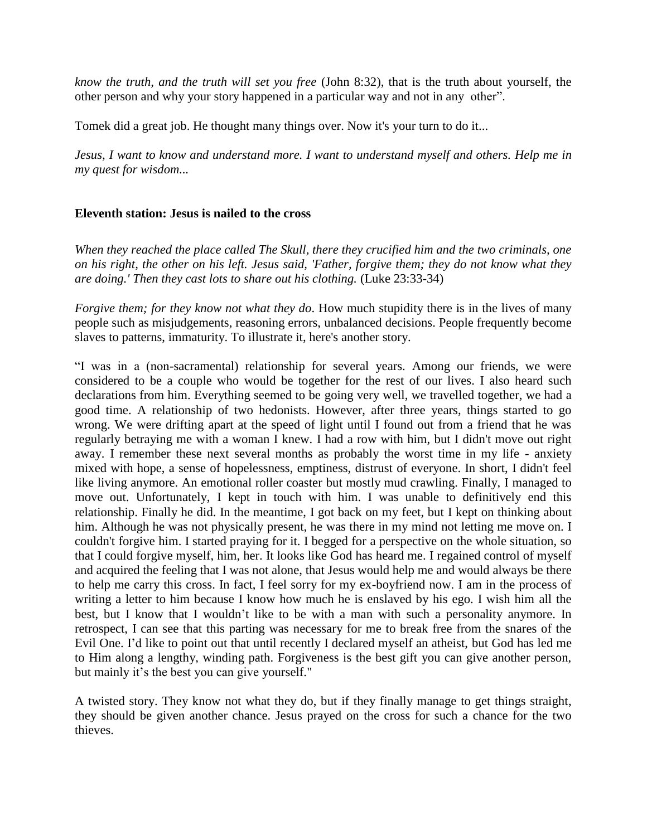*know the truth, and the truth will set you free* (John 8:32), that is the truth about yourself, the other person and why your story happened in a particular way and not in any other".

Tomek did a great job. He thought many things over. Now it's your turn to do it...

*Jesus, I want to know and understand more. I want to understand myself and others. Help me in my quest for wisdom...*

### **Eleventh station: Jesus is nailed to the cross**

*When they reached the place called The Skull, there they crucified him and the two criminals, one on his right, the other on his left. Jesus said, 'Father, forgive them; they do not know what they are doing.' Then they cast lots to share out his clothing.* (Luke 23:33-34)

*Forgive them; for they know not what they do*. How much stupidity there is in the lives of many people such as misjudgements, reasoning errors, unbalanced decisions. People frequently become slaves to patterns, immaturity. To illustrate it, here's another story.

"I was in a (non-sacramental) relationship for several years. Among our friends, we were considered to be a couple who would be together for the rest of our lives. I also heard such declarations from him. Everything seemed to be going very well, we travelled together, we had a good time. A relationship of two hedonists. However, after three years, things started to go wrong. We were drifting apart at the speed of light until I found out from a friend that he was regularly betraying me with a woman I knew. I had a row with him, but I didn't move out right away. I remember these next several months as probably the worst time in my life - anxiety mixed with hope, a sense of hopelessness, emptiness, distrust of everyone. In short, I didn't feel like living anymore. An emotional roller coaster but mostly mud crawling. Finally, I managed to move out. Unfortunately, I kept in touch with him. I was unable to definitively end this relationship. Finally he did. In the meantime, I got back on my feet, but I kept on thinking about him. Although he was not physically present, he was there in my mind not letting me move on. I couldn't forgive him. I started praying for it. I begged for a perspective on the whole situation, so that I could forgive myself, him, her. It looks like God has heard me. I regained control of myself and acquired the feeling that I was not alone, that Jesus would help me and would always be there to help me carry this cross. In fact, I feel sorry for my ex-boyfriend now. I am in the process of writing a letter to him because I know how much he is enslaved by his ego. I wish him all the best, but I know that I wouldn't like to be with a man with such a personality anymore. In retrospect, I can see that this parting was necessary for me to break free from the snares of the Evil One. I'd like to point out that until recently I declared myself an atheist, but God has led me to Him along a lengthy, winding path. Forgiveness is the best gift you can give another person, but mainly it's the best you can give yourself."

A twisted story. They know not what they do, but if they finally manage to get things straight, they should be given another chance. Jesus prayed on the cross for such a chance for the two thieves.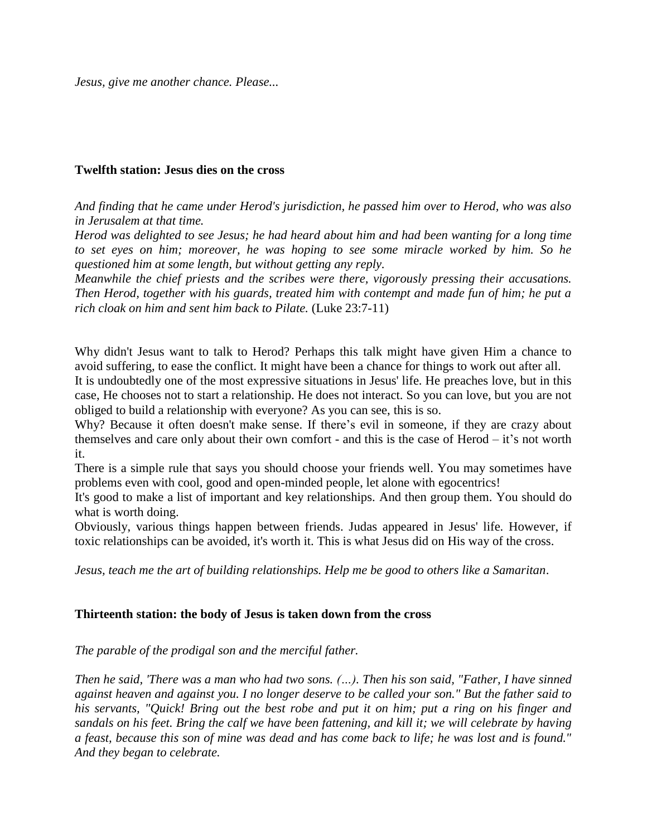*Jesus, give me another chance. Please...*

### **Twelfth station: Jesus dies on the cross**

*And finding that he came under Herod's jurisdiction, he passed him over to Herod, who was also in Jerusalem at that time.* 

*Herod was delighted to see Jesus; he had heard about him and had been wanting for a long time to set eyes on him; moreover, he was hoping to see some miracle worked by him. So he questioned him at some length, but without getting any reply.*

*Meanwhile the chief priests and the scribes were there, vigorously pressing their accusations. Then Herod, together with his guards, treated him with contempt and made fun of him; he put a rich cloak on him and sent him back to Pilate.* (Luke 23:7-11)

Why didn't Jesus want to talk to Herod? Perhaps this talk might have given Him a chance to avoid suffering, to ease the conflict. It might have been a chance for things to work out after all.

It is undoubtedly one of the most expressive situations in Jesus' life. He preaches love, but in this case, He chooses not to start a relationship. He does not interact. So you can love, but you are not obliged to build a relationship with everyone? As you can see, this is so.

Why? Because it often doesn't make sense. If there's evil in someone, if they are crazy about themselves and care only about their own comfort - and this is the case of Herod – it's not worth it.

There is a simple rule that says you should choose your friends well. You may sometimes have problems even with cool, good and open-minded people, let alone with egocentrics!

It's good to make a list of important and key relationships. And then group them. You should do what is worth doing.

Obviously, various things happen between friends. Judas appeared in Jesus' life. However, if toxic relationships can be avoided, it's worth it. This is what Jesus did on His way of the cross.

*Jesus, teach me the art of building relationships. Help me be good to others like a Samaritan*.

# **Thirteenth station: the body of Jesus is taken down from the cross**

*The parable of the prodigal son and the merciful father.*

*Then he said, 'There was a man who had two sons. (…). Then his son said, "Father, I have sinned against heaven and against you. I no longer deserve to be called your son." But the father said to his servants, "Quick! Bring out the best robe and put it on him; put a ring on his finger and sandals on his feet. Bring the calf we have been fattening, and kill it; we will celebrate by having a feast, because this son of mine was dead and has come back to life; he was lost and is found." And they began to celebrate.*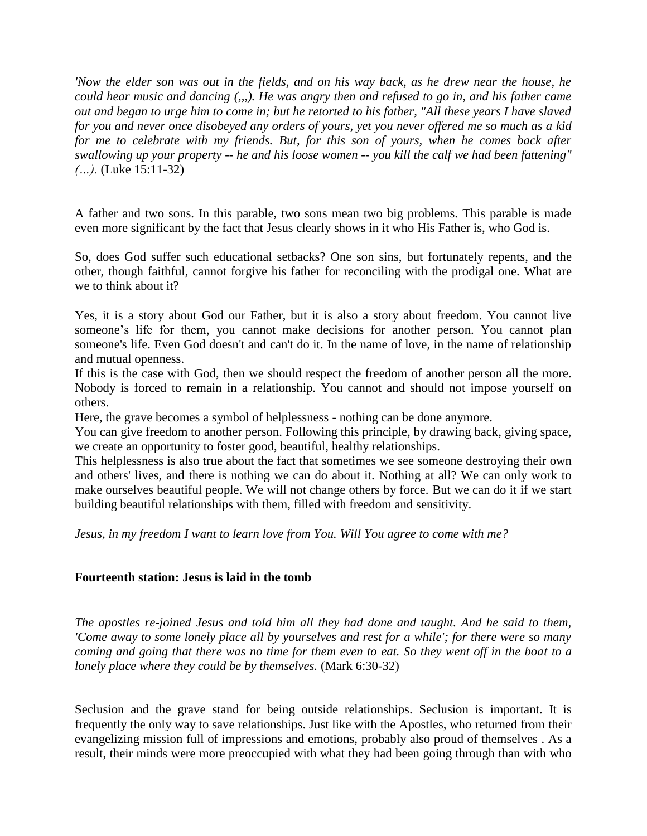*'Now the elder son was out in the fields, and on his way back, as he drew near the house, he could hear music and dancing (,,,). He was angry then and refused to go in, and his father came out and began to urge him to come in; but he retorted to his father, "All these years I have slaved for you and never once disobeyed any orders of yours, yet you never offered me so much as a kid for me to celebrate with my friends. But, for this son of yours, when he comes back after swallowing up your property -- he and his loose women -- you kill the calf we had been fattening" (…).* (Luke 15:11-32)

A father and two sons. In this parable, two sons mean two big problems. This parable is made even more significant by the fact that Jesus clearly shows in it who His Father is, who God is.

So, does God suffer such educational setbacks? One son sins, but fortunately repents, and the other, though faithful, cannot forgive his father for reconciling with the prodigal one. What are we to think about it?

Yes, it is a story about God our Father, but it is also a story about freedom. You cannot live someone's life for them, you cannot make decisions for another person. You cannot plan someone's life. Even God doesn't and can't do it. In the name of love, in the name of relationship and mutual openness.

If this is the case with God, then we should respect the freedom of another person all the more. Nobody is forced to remain in a relationship. You cannot and should not impose yourself on others.

Here, the grave becomes a symbol of helplessness - nothing can be done anymore.

You can give freedom to another person. Following this principle, by drawing back, giving space, we create an opportunity to foster good, beautiful, healthy relationships.

This helplessness is also true about the fact that sometimes we see someone destroying their own and others' lives, and there is nothing we can do about it. Nothing at all? We can only work to make ourselves beautiful people. We will not change others by force. But we can do it if we start building beautiful relationships with them, filled with freedom and sensitivity.

*Jesus, in my freedom I want to learn love from You. Will You agree to come with me?*

### **Fourteenth station: Jesus is laid in the tomb**

*The apostles re-joined Jesus and told him all they had done and taught. And he said to them, 'Come away to some lonely place all by yourselves and rest for a while'; for there were so many coming and going that there was no time for them even to eat. So they went off in the boat to a lonely place where they could be by themselves.* (Mark 6:30-32)

Seclusion and the grave stand for being outside relationships. Seclusion is important. It is frequently the only way to save relationships. Just like with the Apostles, who returned from their evangelizing mission full of impressions and emotions, probably also proud of themselves . As a result, their minds were more preoccupied with what they had been going through than with who